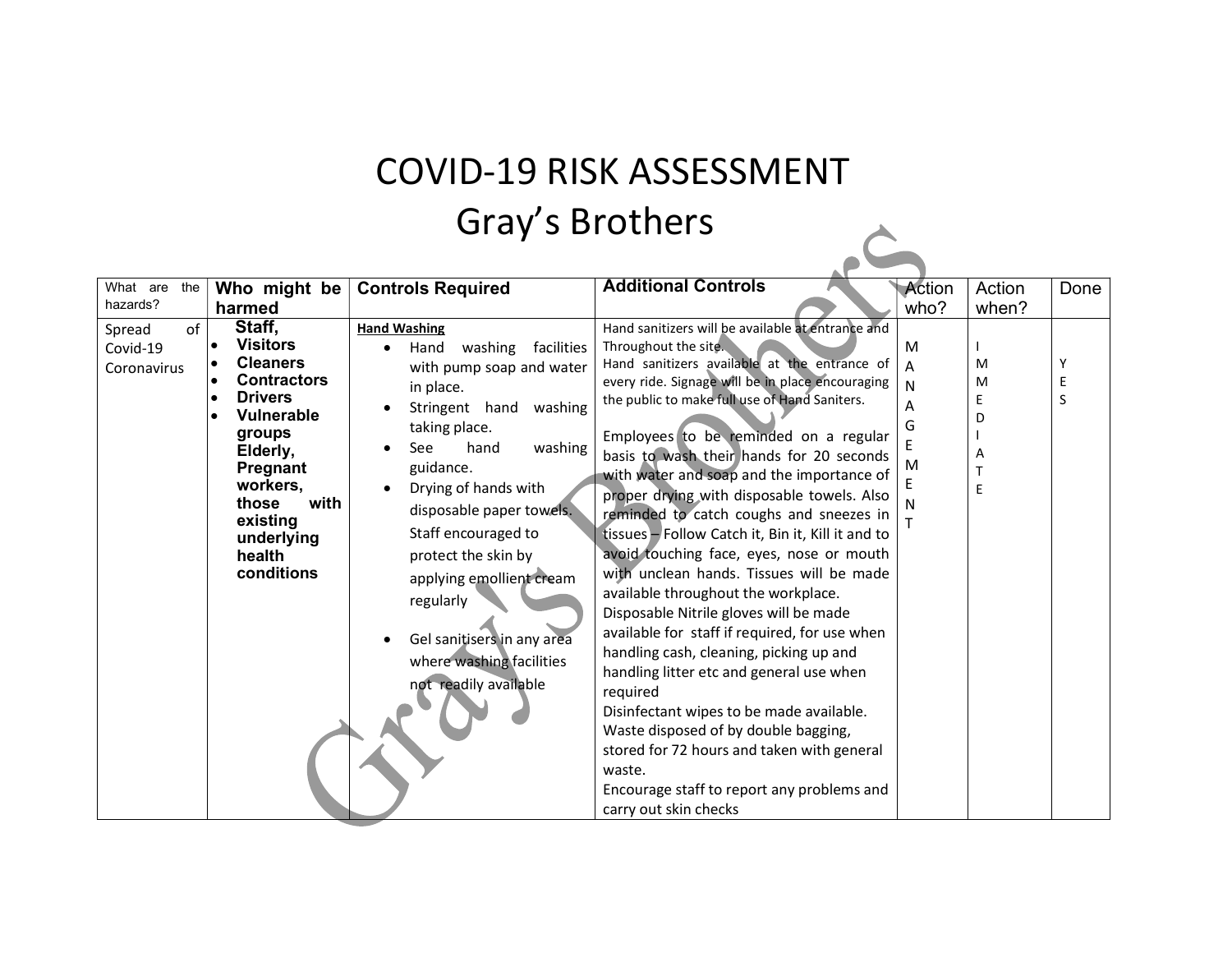#### COVID-19 RISK ASSESSMENT Gray's Brothers  $\hat{C}$

| What are the<br>Who might be                                                                                                                                                                                                                                          | <b>Controls Required</b>                                                                                                                                                                                                                                                                                                                                                                                                | <b>Additional Controls</b>                                                                                                                                                                                                                                                                                                                                                                                                                                                                                                                                                                                                                                                                                                                                                                                                                                                                                                                                                                                                                                     | Action                | Action                     | Done        |
|-----------------------------------------------------------------------------------------------------------------------------------------------------------------------------------------------------------------------------------------------------------------------|-------------------------------------------------------------------------------------------------------------------------------------------------------------------------------------------------------------------------------------------------------------------------------------------------------------------------------------------------------------------------------------------------------------------------|----------------------------------------------------------------------------------------------------------------------------------------------------------------------------------------------------------------------------------------------------------------------------------------------------------------------------------------------------------------------------------------------------------------------------------------------------------------------------------------------------------------------------------------------------------------------------------------------------------------------------------------------------------------------------------------------------------------------------------------------------------------------------------------------------------------------------------------------------------------------------------------------------------------------------------------------------------------------------------------------------------------------------------------------------------------|-----------------------|----------------------------|-------------|
| hazards?<br>harmed                                                                                                                                                                                                                                                    |                                                                                                                                                                                                                                                                                                                                                                                                                         |                                                                                                                                                                                                                                                                                                                                                                                                                                                                                                                                                                                                                                                                                                                                                                                                                                                                                                                                                                                                                                                                | who?                  | when?                      |             |
| Staff,<br>of<br>Spread<br><b>Visitors</b><br>Covid-19<br><b>Cleaners</b><br>Coronavirus<br><b>Contractors</b><br><b>Drivers</b><br><b>Vulnerable</b><br>groups<br>Elderly,<br>Pregnant<br>workers,<br>with<br>those<br>existing<br>underlying<br>health<br>conditions | <b>Hand Washing</b><br>washing<br>facilities<br>Hand<br>with pump soap and water<br>in place.<br>Stringent hand<br>washing<br>taking place.<br>hand<br>washing<br><b>See</b><br>guidance.<br>Drying of hands with<br>disposable paper towels.<br>Staff encouraged to<br>protect the skin by<br>applying emollient cream<br>regularly<br>Gel sanitisers in any area<br>where washing facilities<br>not readily available | Hand sanitizers will be available at entrance and<br>Throughout the site.<br>Hand sanitizers available at the entrance of<br>every ride. Signage will be in place encouraging<br>the public to make full use of Hand Saniters.<br>Employees to be reminded on a regular<br>basis to wash their hands for 20 seconds<br>with water and soap and the importance of<br>proper drying with disposable towels. Also<br>reminded to catch coughs and sneezes in<br>tissues - Follow Catch it, Bin it, Kill it and to<br>avoid touching face, eyes, nose or mouth<br>with unclean hands. Tissues will be made<br>available throughout the workplace.<br>Disposable Nitrile gloves will be made<br>available for staff if required, for use when<br>handling cash, cleaning, picking up and<br>handling litter etc and general use when<br>required<br>Disinfectant wipes to be made available.<br>Waste disposed of by double bagging,<br>stored for 72 hours and taken with general<br>waste.<br>Encourage staff to report any problems and<br>carry out skin checks | M<br>N<br>G<br>M<br>N | M<br>M<br>F<br>D<br>A<br>E | Y<br>Е<br>S |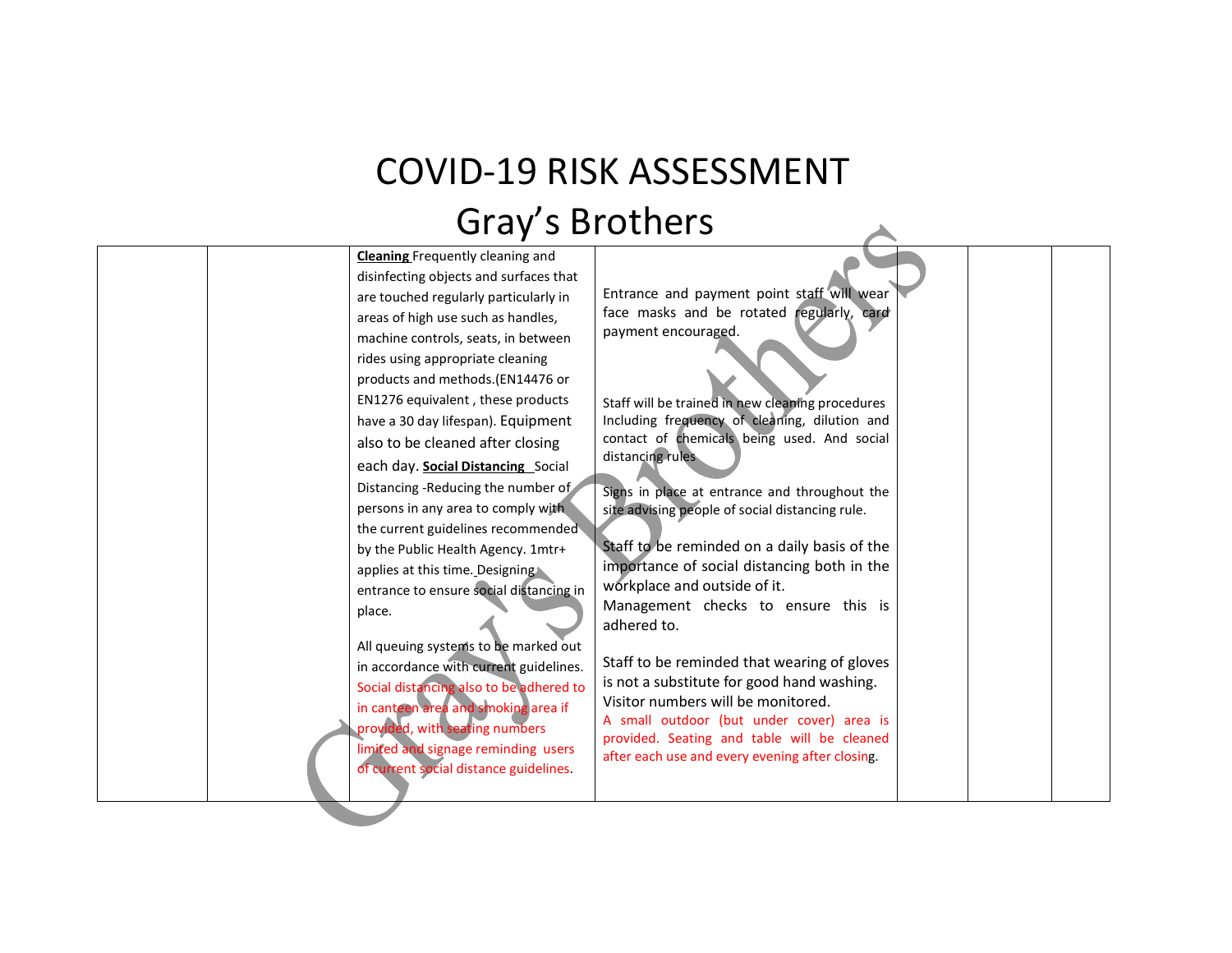## COVID-19 RISK ASSESSMENT Gray's Brothers

| <b>Cleaning Frequently cleaning and</b> |                                                                                 |  |
|-----------------------------------------|---------------------------------------------------------------------------------|--|
| disinfecting objects and surfaces that  |                                                                                 |  |
| are touched regularly particularly in   | Entrance and payment point staff will wear                                      |  |
| areas of high use such as handles,      | face masks and be rotated regularly, card                                       |  |
| machine controls, seats, in between     | payment encouraged.                                                             |  |
| rides using appropriate cleaning        |                                                                                 |  |
| products and methods. (EN14476 or       |                                                                                 |  |
| EN1276 equivalent, these products       | Staff will be trained in new cleaning procedures                                |  |
| have a 30 day lifespan). Equipment      | Including frequency of cleaning, dilution and                                   |  |
| also to be cleaned after closing        | contact of chemicals being used. And social                                     |  |
| each day. Social Distancing Social      | distancing rules                                                                |  |
| Distancing -Reducing the number of      | Signs in place at entrance and throughout the                                   |  |
| persons in any area to comply with      | site advising people of social distancing rule.                                 |  |
| the current guidelines recommended      |                                                                                 |  |
| by the Public Health Agency. 1mtr+      | Staff to be reminded on a daily basis of the                                    |  |
| applies at this time. Designing         | importance of social distancing both in the                                     |  |
| entrance to ensure social distancing in | workplace and outside of it.                                                    |  |
| place.                                  | Management checks to ensure this is                                             |  |
|                                         | adhered to.                                                                     |  |
| All queuing systems to be marked out    |                                                                                 |  |
| in accordance with current guidelines.  | Staff to be reminded that wearing of gloves                                     |  |
| Social distancing also to be adhered to | is not a substitute for good hand washing.                                      |  |
| in canteen area and smoking area if     | Visitor numbers will be monitored.<br>A small outdoor (but under cover) area is |  |
| provided, with seating numbers          | provided. Seating and table will be cleaned                                     |  |
| limited and signage reminding users     | after each use and every evening after closing.                                 |  |
| of current social distance guidelines.  |                                                                                 |  |
|                                         |                                                                                 |  |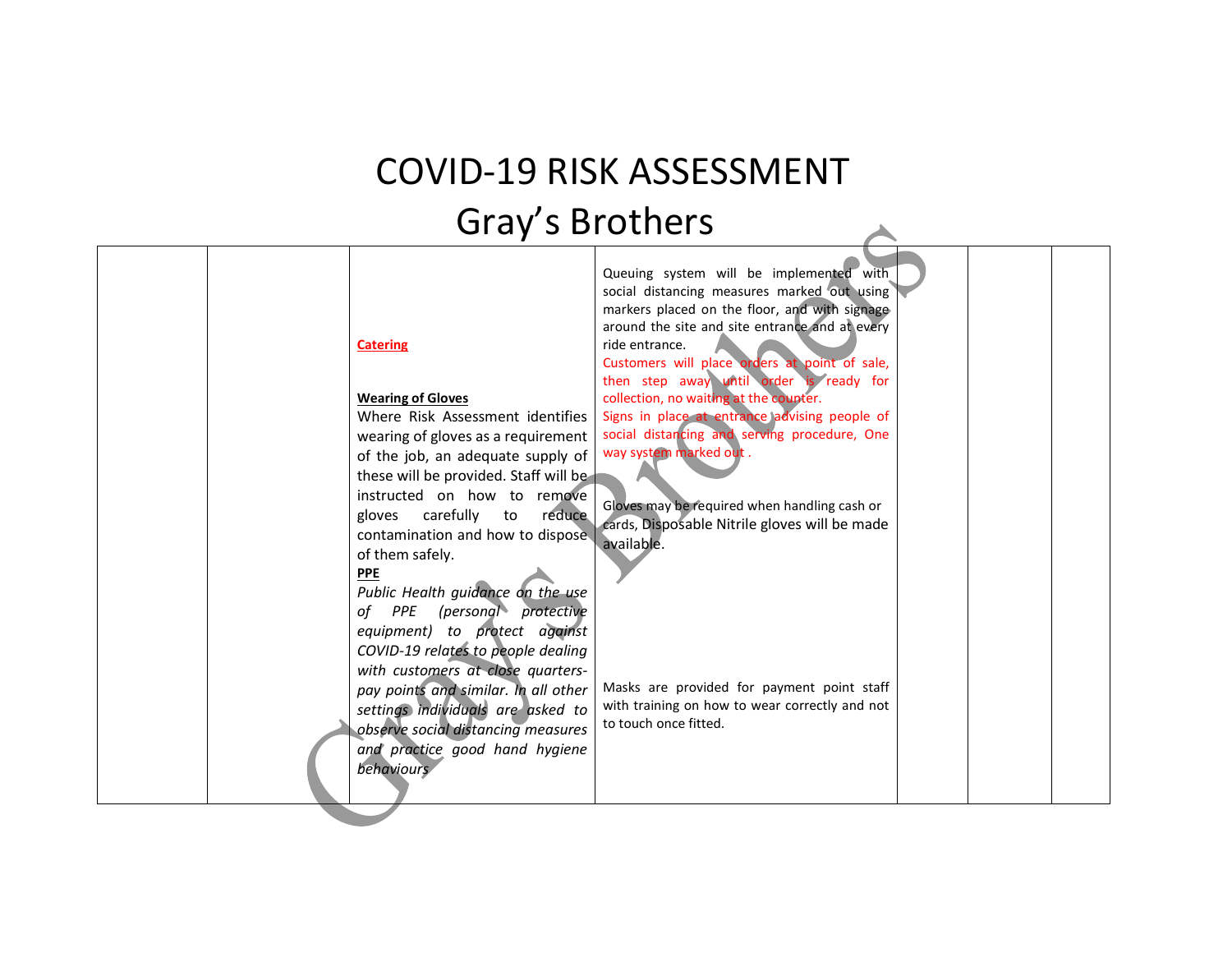### COVID-19 RISK ASSESSMENT Gray's Brothers

 $\blacktriangle$ 

| Queuing system will be implemented with<br>social distancing measures marked out using<br>markers placed on the floor, and with signage<br>around the site and site entrance and at every<br>ride entrance.<br><b>Catering</b><br>Customers will place orders at point of sale,<br>then step away until order is ready for<br><b>Wearing of Gloves</b><br>collection, no waiting at the counter.<br>Signs in place at entrance advising people of<br>Where Risk Assessment identifies<br>social distancing and serving procedure, One<br>wearing of gloves as a requirement<br>way system marked out.<br>of the job, an adequate supply of<br>these will be provided. Staff will be<br>instructed on how to remove<br>Gloves may be required when handling cash or<br>gloves carefully to reduce<br>cards, Disposable Nitrile gloves will be made<br>contamination and how to dispose.<br>available.<br>of them safely.<br><b>PPE</b><br>Public Health guidance on the use<br>of PPE (personal protective<br>equipment) to protect against<br>COVID-19 relates to people dealing<br>with customers at close quarters-<br>Masks are provided for payment point staff<br>pay points and similar. In all other<br>with training on how to wear correctly and not<br>settings individuals are asked to<br>to touch once fitted.<br>observe social distancing measures<br>and practice good hand hygiene<br>behaviours |
|-------------------------------------------------------------------------------------------------------------------------------------------------------------------------------------------------------------------------------------------------------------------------------------------------------------------------------------------------------------------------------------------------------------------------------------------------------------------------------------------------------------------------------------------------------------------------------------------------------------------------------------------------------------------------------------------------------------------------------------------------------------------------------------------------------------------------------------------------------------------------------------------------------------------------------------------------------------------------------------------------------------------------------------------------------------------------------------------------------------------------------------------------------------------------------------------------------------------------------------------------------------------------------------------------------------------------------------------------------------------------------------------------------------------|
|-------------------------------------------------------------------------------------------------------------------------------------------------------------------------------------------------------------------------------------------------------------------------------------------------------------------------------------------------------------------------------------------------------------------------------------------------------------------------------------------------------------------------------------------------------------------------------------------------------------------------------------------------------------------------------------------------------------------------------------------------------------------------------------------------------------------------------------------------------------------------------------------------------------------------------------------------------------------------------------------------------------------------------------------------------------------------------------------------------------------------------------------------------------------------------------------------------------------------------------------------------------------------------------------------------------------------------------------------------------------------------------------------------------------|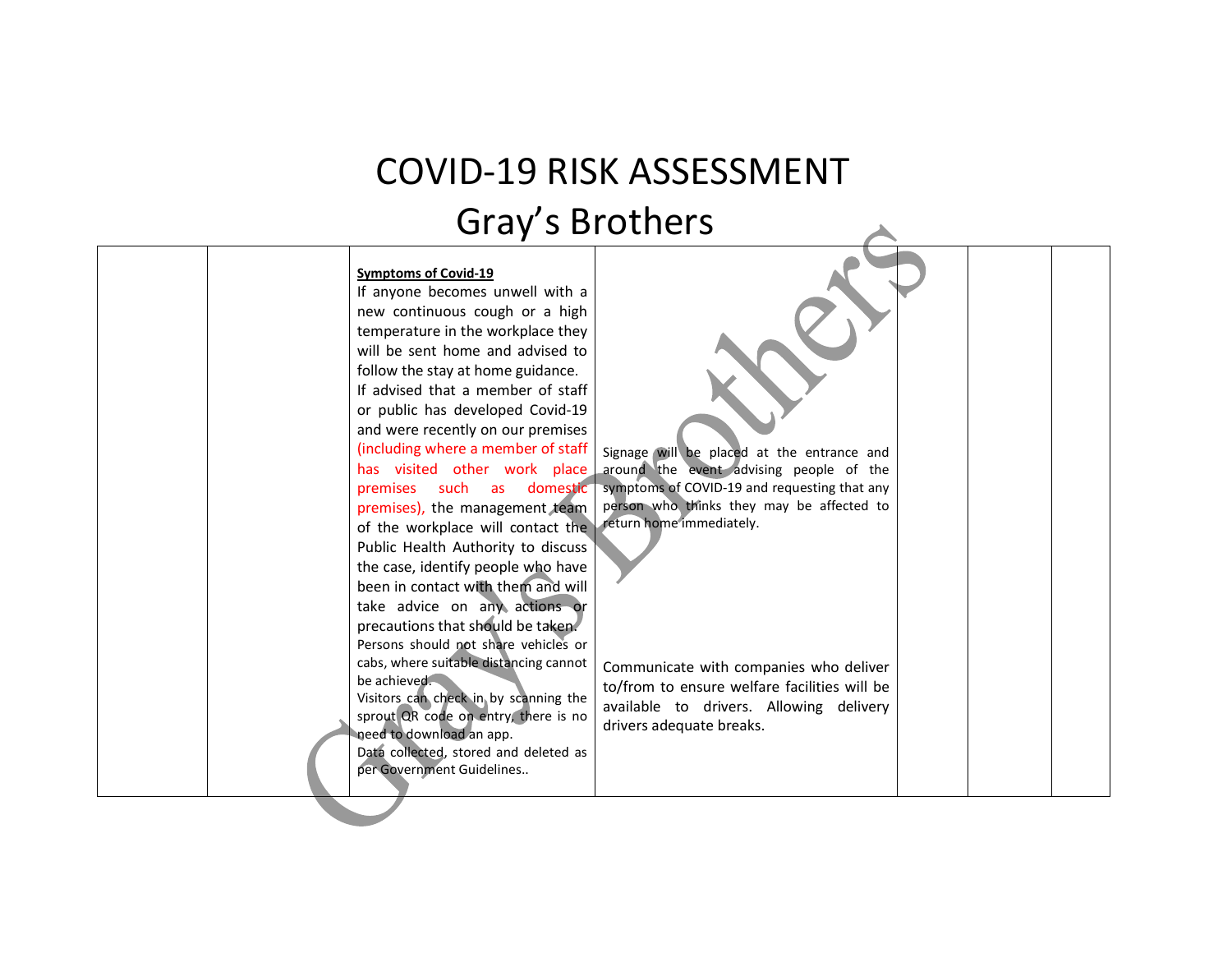#### COVID-19 RISK ASSESSMENT Gray's Brothers

#### Symptoms of Covid-19

If anyone becomes unwell with a new continuous cough or a high temperature in the workplace they will be sent home and advised to follow the stay at home guidance. If advised that a member of staff or public has developed Covid-19 and were recently on our premises (including where a member of staff has visited other work place premises such as domestic premises), the management team of the workplace will contact the Public Health Authority to discuss the case, identify people who have been in contact with them and will take advice on any actions or precautions that should be taken. Persons should not share vehicles or cabs, where suitable distancing cannot be achieved. Visitors can check in by scanning the sprout QR code on entry, there is no need to download an app. Data collected, stored and deleted as per Government Guidelines..

Signage will be placed at the entrance and around the event advising people of the symptoms of COVID-19 and requesting that any person who thinks they may be affected to return home immediately.

Communicate with companies who deliver to/from to ensure welfare facilities will be available to drivers. Allowing delivery drivers adequate breaks.